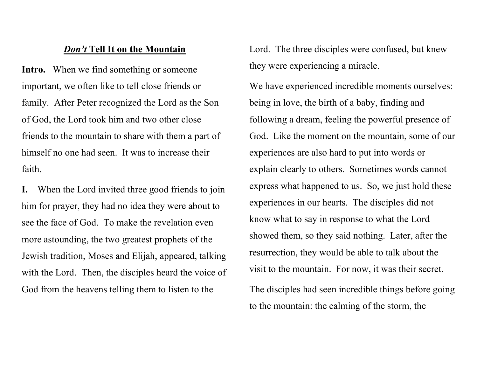## **Don't Tell It on the Mountain**

Intro. When we find something or someone important, we often like to tell close friends or family. After Peter recognized the Lord as the Son of God, the Lord took him and two other close friends to the mountain to share with them a part of himself no one had seen. It was to increase their faith.

I. When the Lord invited three good friends to join him for prayer, they had no idea they were about to see the face of God. To make the revelation even more astounding, the two greatest prophets of the Jewish tradition, Moses and Elijah, appeared, talking with the Lord. Then, the disciples heard the voice of God from the heavens telling them to listen to the

Lord. The three disciples were confused, but knew they were experiencing a miracle.

We have experienced incredible moments ourselves: being in love, the birth of a baby, finding and following a dream, feeling the powerful presence of God. Like the moment on the mountain, some of our experiences are also hard to put into words or explain clearly to others. Sometimes words cannot express what happened to us. So, we just hold these experiences in our hearts. The disciples did not know what to say in response to what the Lord showed them, so they said nothing. Later, after the resurrection, they would be able to talk about the visit to the mountain. For now, it was their secret. The disciples had seen incredible things before going

to the mountain: the calming of the storm, the